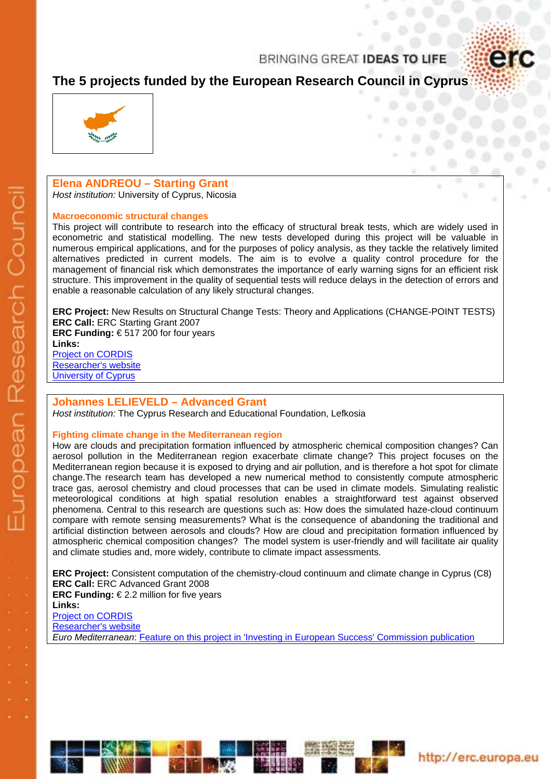# BRINGING GREAT IDEAS TO LIFE

 $\blacksquare$ 

# **The 5 projects funded by the European Research Council in Cyprus**



# **Elena ANDREOU – Starting Grant**

*Host institution:* University of Cyprus, Nicosia

### **Macroeconomic structural changes**

This project will contribute to research into the efficacy of structural break tests, which are widely used in econometric and statistical modelling. The new tests developed during this project will be valuable in numerous empirical applications, and for the purposes of policy analysis, as they tackle the relatively limited alternatives predicted in current models. The aim is to evolve a quality control procedure for the management of financial risk which demonstrates the importance of early warning signs for an efficient risk structure. This improvement in the quality of sequential tests will reduce delays in the detection of errors and enable a reasonable calculation of any likely structural changes.

**ERC Project:** New Results on Structural Change Tests: Theory and Applications (CHANGE-POINT TESTS) **ERC Call:** ERC Starting Grant 2007 **ERC Funding:** € 517 200 for four years **Links:**  [Project on CORDIS](http://cordis.europa.eu/fetch?CALLER=FP7_PROJ_EN&ACTION=D&DOC=3&CAT=PROJ&QUERY=012f4f3d5d9b:c6cd:3e8d4630&RCN=87588)

[Researcher's website](http://www.ucy.ac.cy/~ecelena.aspx) [University of Cyprus](http://www.ucy.ac.cy/default.aspx?l=en-US)

## **Johannes LELIEVELD – Advanced Grant**

*Host institution:* The Cyprus Research and Educational Foundation, Lefkosia

## **Fighting climate change in the Mediterranean region**

How are clouds and precipitation formation influenced by atmospheric chemical composition changes? Can aerosol pollution in the Mediterranean region exacerbate climate change? This project focuses on the Mediterranean region because it is exposed to drying and air pollution, and is therefore a hot spot for climate change.The research team has developed a new numerical method to consistently compute atmospheric trace gas, aerosol chemistry and cloud processes that can be used in climate models. Simulating realistic meteorological conditions at high spatial resolution enables a straightforward test against observed phenomena. Central to this research are questions such as: How does the simulated haze-cloud continuum compare with remote sensing measurements? What is the consequence of abandoning the traditional and artificial distinction between aerosols and clouds? How are cloud and precipitation formation influenced by atmospheric chemical composition changes? The model system is user-friendly and will facilitate air quality and climate studies and, more widely, contribute to climate impact assessments.

**ERC Project:** Consistent computation of the chemistry-cloud continuum and climate change in Cyprus (C8) **ERC Call:** ERC Advanced Grant 2008 **ERC Funding:** € 2.2 million for five years **Links:**  [Project on CORDIS](http://cordis.europa.eu/fetch?CALLER=FP7_PROJ_EN&ACTION=D&DOC=1&CAT=PROJ&QUERY=012f4f43c57b:840b:478d81e5&RCN=89078) [Researcher's website](http://www.cyi.ac.cy/user/26)

*Euro Mediterranean*: [Feature on this project in 'Investing in European Success' Commission publication](http://ec.europa.eu/research/conferences/2012/euro-mediterranean/pdf/success_stories_euro-med_2012.pdf)